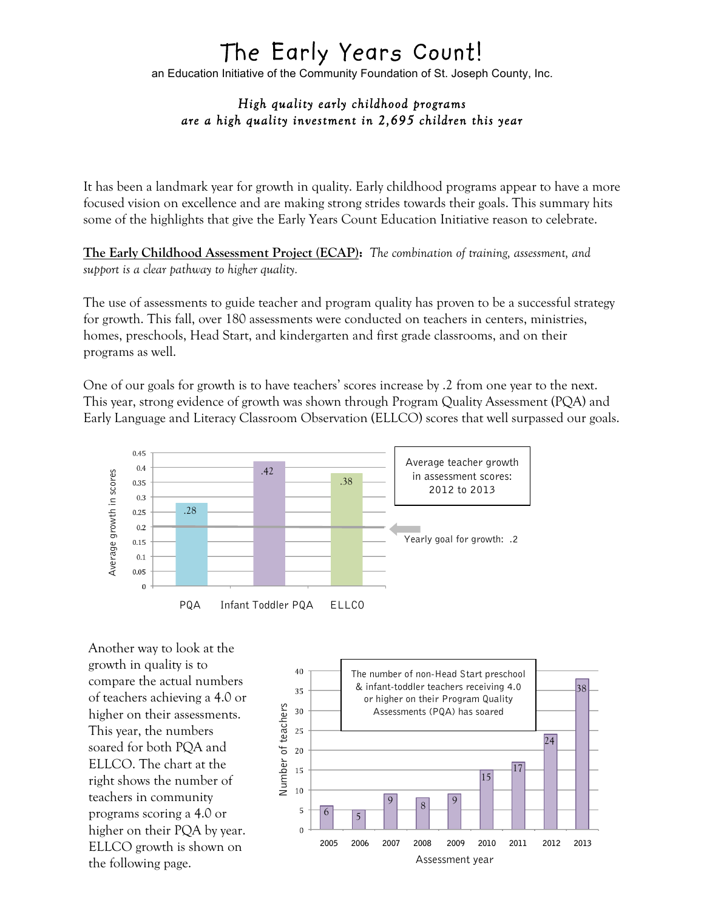## The Early Years Count!

an Education Initiative of the Community Foundation of St. Joseph County, Inc.

## *High quality early childhood programs are a high quality investment in 2,695 children this year*

It has been a landmark year for growth in quality. Early childhood programs appear to have a more focused vision on excellence and are making strong strides towards their goals. This summary hits some of the highlights that give the Early Years Count Education Initiative reason to celebrate.

**The Early Childhood Assessment Project (ECAP):** *The combination of training, assessment, and support is a clear pathway to higher quality.*

The use of assessments to guide teacher and program quality has proven to be a successful strategy for growth. This fall, over 180 assessments were conducted on teachers in centers, ministries, homes, preschools, Head Start, and kindergarten and first grade classrooms, and on their programs as well.

One of our goals for growth is to have teachers' scores increase by .2 from one year to the next. This year, strong evidence of growth was shown through Program Quality Assessment (PQA) and Early Language and Literacy Classroom Observation (ELLCO) scores that well surpassed our goals.



Another way to look at the growth in quality is to compare the actual numbers of teachers achieving a 4.0 or higher on their assessments. This year, the numbers soared for both PQA and ELLCO. The chart at the right shows the number of teachers in community programs scoring a 4.0 or higher on their PQA by year. ELLCO growth is shown on the following page.

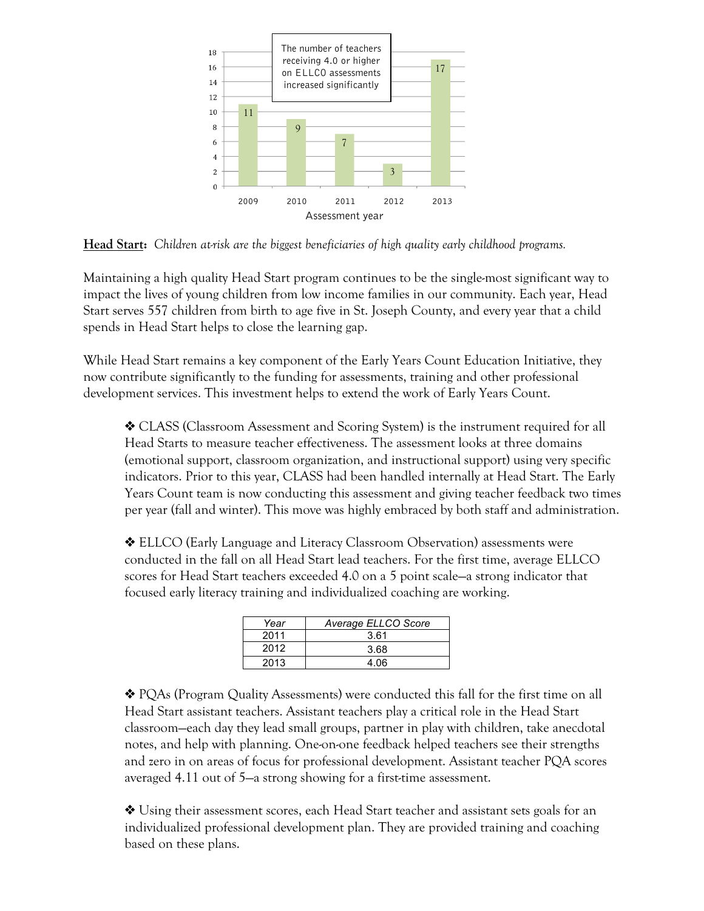

**Head Start:** *Children at-risk are the biggest beneficiaries of high quality early childhood programs.*

Maintaining a high quality Head Start program continues to be the single-most significant way to impact the lives of young children from low income families in our community. Each year, Head Start serves 557 children from birth to age five in St. Joseph County, and every year that a child spends in Head Start helps to close the learning gap.

While Head Start remains a key component of the Early Years Count Education Initiative, they now contribute significantly to the funding for assessments, training and other professional development services. This investment helps to extend the work of Early Years Count.

❖ CLASS (Classroom Assessment and Scoring System) is the instrument required for all Head Starts to measure teacher effectiveness. The assessment looks at three domains (emotional support, classroom organization, and instructional support) using very specific indicators. Prior to this year, CLASS had been handled internally at Head Start. The Early Years Count team is now conducting this assessment and giving teacher feedback two times per year (fall and winter). This move was highly embraced by both staff and administration.

❖ ELLCO (Early Language and Literacy Classroom Observation) assessments were conducted in the fall on all Head Start lead teachers. For the first time, average ELLCO scores for Head Start teachers exceeded 4.0 on a 5 point scale—a strong indicator that focused early literacy training and individualized coaching are working.

| Year | Average ELLCO Score |
|------|---------------------|
| 2011 | 3.61                |
| 2012 | 3.68                |
| 2013 | 4.06                |

❖ PQAs (Program Quality Assessments) were conducted this fall for the first time on all Head Start assistant teachers. Assistant teachers play a critical role in the Head Start classroom—each day they lead small groups, partner in play with children, take anecdotal notes, and help with planning. One-on-one feedback helped teachers see their strengths and zero in on areas of focus for professional development. Assistant teacher PQA scores averaged 4.11 out of 5—a strong showing for a first-time assessment.

❖ Using their assessment scores, each Head Start teacher and assistant sets goals for an individualized professional development plan. They are provided training and coaching based on these plans.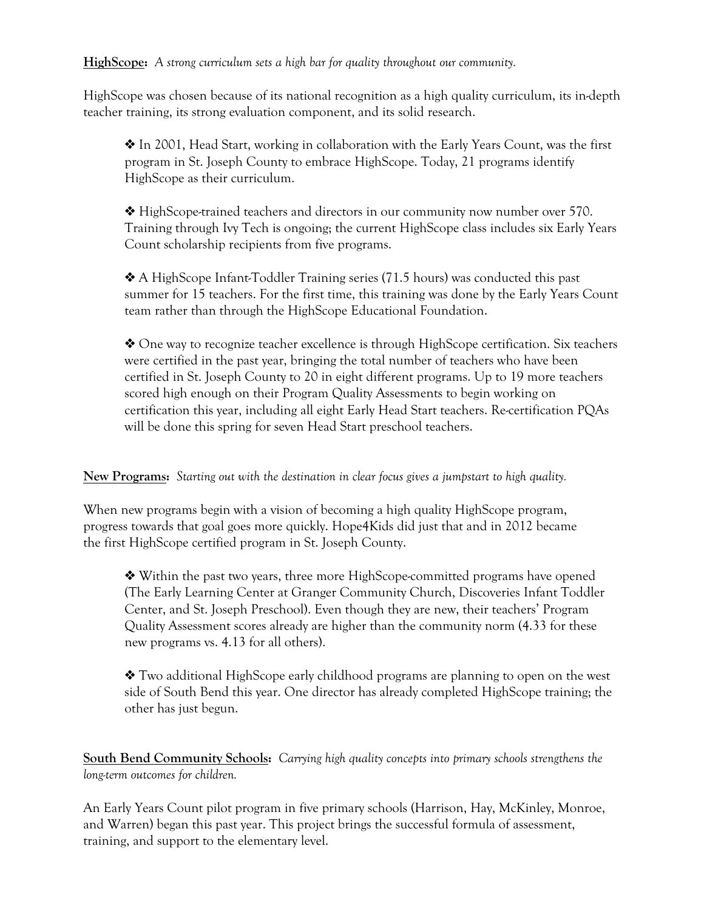**HighScope:** *A strong curriculum sets a high bar for quality throughout our community.*

HighScope was chosen because of its national recognition as a high quality curriculum, its in-depth teacher training, its strong evaluation component, and its solid research.

❖ In 2001, Head Start, working in collaboration with the Early Years Count, was the first program in St. Joseph County to embrace HighScope. Today, 21 programs identify HighScope as their curriculum.

❖ HighScope-trained teachers and directors in our community now number over 570. Training through Ivy Tech is ongoing; the current HighScope class includes six Early Years Count scholarship recipients from five programs.

❖ A HighScope Infant-Toddler Training series (71.5 hours) was conducted this past summer for 15 teachers. For the first time, this training was done by the Early Years Count team rather than through the HighScope Educational Foundation.

❖ One way to recognize teacher excellence is through HighScope certification. Six teachers were certified in the past year, bringing the total number of teachers who have been certified in St. Joseph County to 20 in eight different programs. Up to 19 more teachers scored high enough on their Program Quality Assessments to begin working on certification this year, including all eight Early Head Start teachers. Re-certification PQAs will be done this spring for seven Head Start preschool teachers.

**New Programs:** *Starting out with the destination in clear focus gives a jumpstart to high quality.*

When new programs begin with a vision of becoming a high quality HighScope program, progress towards that goal goes more quickly. Hope4Kids did just that and in 2012 became the first HighScope certified program in St. Joseph County.

❖ Within the past two years, three more HighScope-committed programs have opened (The Early Learning Center at Granger Community Church, Discoveries Infant Toddler Center, and St. Joseph Preschool). Even though they are new, their teachers' Program Quality Assessment scores already are higher than the community norm (4.33 for these new programs vs. 4.13 for all others).

❖ Two additional HighScope early childhood programs are planning to open on the west side of South Bend this year. One director has already completed HighScope training; the other has just begun.

**South Bend Community Schools:** *Carrying high quality concepts into primary schools strengthens the long-term outcomes for children.*

An Early Years Count pilot program in five primary schools (Harrison, Hay, McKinley, Monroe, and Warren) began this past year. This project brings the successful formula of assessment, training, and support to the elementary level.